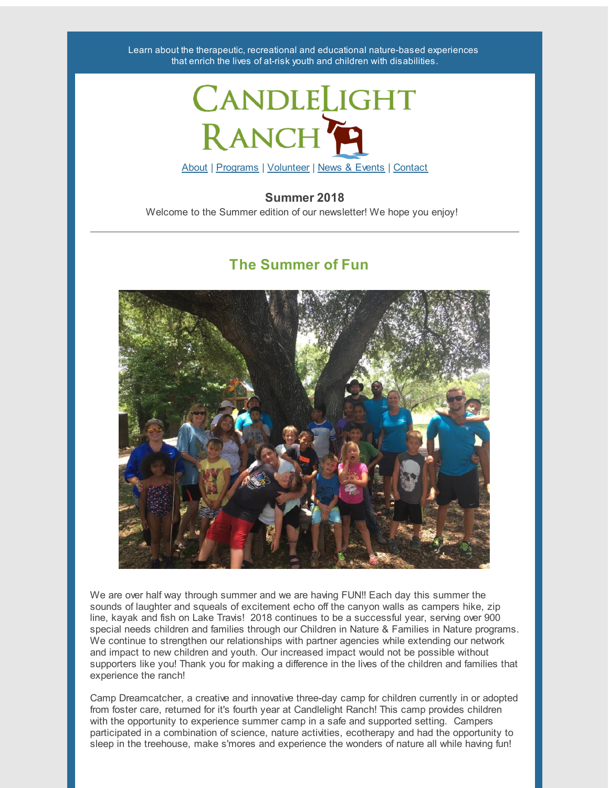Learn about the therapeutic, recreational and educational nature-based experiences that enrich the lives of at-risk youth and children with disabilities.



### **Summer 2018**

Welcome to the Summer edition of our newsletter! We hope you enjoy!

### **The Summer of Fun**



We are over half way through summer and we are having FUN!! Each day this summer the sounds of laughter and squeals of excitement echo off the canyon walls as campers hike, zip line, kayak and fish on Lake Travis! 2018 continues to be a successful year, serving over 900 special needs children and families through our Children in Nature & Families in Nature programs. We continue to strengthen our relationships with partner agencies while extending our network and impact to new children and youth. Our increased impact would not be possible without supporters like you! Thank you for making a difference in the lives of the children and families that experience the ranch!

Camp Dreamcatcher, a creative and innovative three-day camp for children currently in or adopted from foster care, returned for it's fourth year at Candlelight Ranch! This camp provides children with the opportunity to experience summer camp in a safe and supported setting. Campers participated in a combination of science, nature activities, ecotherapy and had the opportunity to sleep in the treehouse, make s'mores and experience the wonders of nature all while having fun!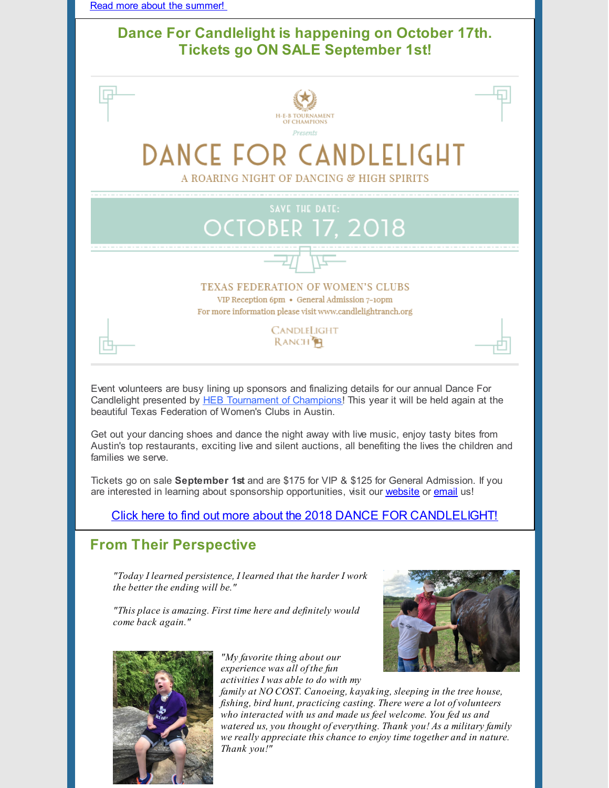

## **Dance For Candlelight is happening on October 17th. Tickets go ON SALE September 1st!**



Event volunteers are busy lining up sponsors and finalizing details for our annual Dance For Candlelight presented by HEB [Tournament](http://hebtoc.com/) of Champions! This year it will be held again at the beautiful Texas Federation of Women's Clubs in Austin.

Get out your dancing shoes and dance the night away with live music, enjoy tasty bites from Austin's top restaurants, exciting live and silent auctions, all benefiting the lives the children and families we serve.

Tickets go on sale **September 1st** and are \$175 for VIP & \$125 for General Admission. If you are interested in learning about sponsorship opportunities, visit our [website](http://candlelightranch.org/news-events/dance-for-candlelight/) or [email](mailto:info@candlelightranch.org) us!

Click here to find out more about the 2018 DANCE FOR [CANDLELIGHT!](http://candlelightranch.org/news-events/dance-for-candlelight-2018/)

# **From Their Perspective**

*"Today I learned persistence, I learned that the harder I work the better the ending will be."*

*"This place is amazing. First time here and definitely would come back again."*



*"My favorite thing about our experience was all of the fun activities I was able to do with my*



*family at NO COST. Canoeing, kayaking, sleeping in the tree house, fishing, bird hunt, practicing casting. There were a lot of volunteers who interacted with us and made us feel welcome. You fed us and watered us, you thought of everything. Thank you! As a military family we really appreciate this chance to enjoy time together and in nature. Thank you!"*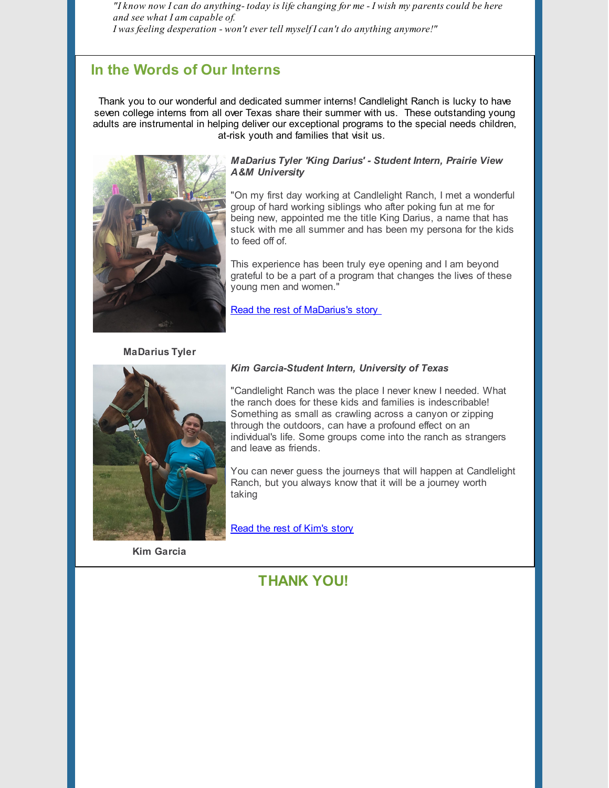"I know now I can do anything-today is life changing for me - I wish my parents could be here *and see what I am capable of. I was feeling desperation - won't ever tell myself I can't do anything anymore!"*

### **In the Words of Our Interns**

Thank you to our wonderful and dedicated summer interns! Candlelight Ranch is lucky to have seven college interns from all over Texas share their summer with us. These outstanding young adults are instrumental in helping deliver our exceptional programs to the special needs children, at-risk youth and families that visit us.



#### *MaDarius Tyler 'King Darius' - Student Intern, Prairie View A&M University*

"On my first day working at Candlelight Ranch, I met a wonderful group of hard working siblings who after poking fun at me for being new, appointed me the title King Darius, a name that has stuck with me all summer and has been my persona for the kids to feed off of.

This experience has been truly eye opening and I am beyond grateful to be a part of a program that changes the lives of these young men and women."

Read the rest of [MaDarius's](http://candlelightranch.org/volunteers/in-the-words-of-our-interns-madarius/) story

#### **MaDarius Tyler**



#### *Kim Garcia-Student Intern, University of Texas*

"Candlelight Ranch was the place I never knew I needed. What the ranch does for these kids and families is indescribable! Something as small as crawling across a canyon or zipping through the outdoors, can have a profound effect on an individual's life. Some groups come into the ranch as strangers and leave as friends.

You can never guess the journeys that will happen at Candlelight Ranch, but you always know that it will be a journey worth taking

Read the rest of [Kim's](http://candlelightranch.org/volunteers/in-the-words-of-our-interns-kim/) story

**Kim Garcia**

### **THANK YOU!**